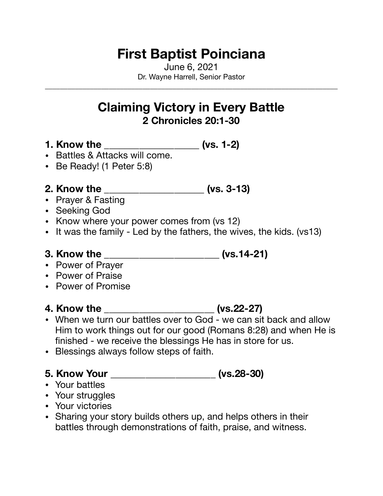## **First Baptist Poinciana**

June 6, 2021 Dr. Wayne Harrell, Senior Pastor

\_\_\_\_\_\_\_\_\_\_\_\_\_\_\_\_\_\_\_\_\_\_\_\_\_\_\_\_\_\_\_\_\_\_\_\_\_\_\_\_\_\_\_\_\_\_\_\_\_\_\_\_\_\_\_\_\_\_\_\_\_\_\_\_\_\_\_\_\_\_\_\_\_\_\_\_\_\_

## **Claiming Victory in Every Battle 2 Chronicles 20:1-30**

- **1. Know the \_\_\_\_\_\_\_\_\_\_\_\_\_\_\_\_\_\_\_ (vs. 1-2)**
- Battles & Attacks will come.
- Be Ready! (1 Peter 5:8)

### **2. Know the \_\_\_\_\_\_\_\_\_\_\_\_\_\_\_\_\_\_\_\_ (vs. 3-13)**

- Prayer & Fasting
- Seeking God
- Know where your power comes from (vs 12)
- It was the family Led by the fathers, the wives, the kids. (vs13)

### **3. Know the**  (vs.14-21)

- Power of Prayer
- Power of Praise
- Power of Promise

### **4. Know the \_\_\_\_\_\_\_\_\_\_\_\_\_\_\_\_\_\_\_\_\_\_ (vs.22-27)**

- When we turn our battles over to God we can sit back and allow Him to work things out for our good (Romans 8:28) and when He is finished - we receive the blessings He has in store for us.
- Blessings always follow steps of faith.

### **5. Know Your \_\_\_\_\_\_\_\_\_\_\_\_\_\_\_\_\_\_\_\_\_ (vs.28-30)**

- Your battles
- Your struggles
- Your victories
- Sharing your story builds others up, and helps others in their battles through demonstrations of faith, praise, and witness.